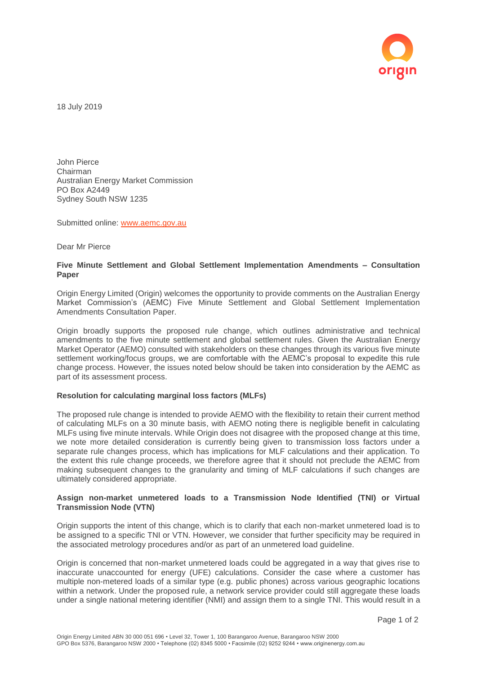

18 July 2019

John Pierce Chairman Australian Energy Market Commission PO Box A2449 Sydney South NSW 1235

Submitted online: [www.aemc.gov.au](http://www.aemc.gov.au/)

Dear Mr Pierce

## **Five Minute Settlement and Global Settlement Implementation Amendments – Consultation Paper**

Origin Energy Limited (Origin) welcomes the opportunity to provide comments on the Australian Energy Market Commission's (AEMC) Five Minute Settlement and Global Settlement Implementation Amendments Consultation Paper.

Origin broadly supports the proposed rule change, which outlines administrative and technical amendments to the five minute settlement and global settlement rules. Given the Australian Energy Market Operator (AEMO) consulted with stakeholders on these changes through its various five minute settlement working/focus groups, we are comfortable with the AEMC's proposal to expedite this rule change process. However, the issues noted below should be taken into consideration by the AEMC as part of its assessment process.

## **Resolution for calculating marginal loss factors (MLFs)**

The proposed rule change is intended to provide AEMO with the flexibility to retain their current method of calculating MLFs on a 30 minute basis, with AEMO noting there is negligible benefit in calculating MLFs using five minute intervals. While Origin does not disagree with the proposed change at this time, we note more detailed consideration is currently being given to transmission loss factors under a separate rule changes process, which has implications for MLF calculations and their application. To the extent this rule change proceeds, we therefore agree that it should not preclude the AEMC from making subsequent changes to the granularity and timing of MLF calculations if such changes are ultimately considered appropriate.

## **Assign non-market unmetered loads to a Transmission Node Identified (TNI) or Virtual Transmission Node (VTN)**

Origin supports the intent of this change, which is to clarify that each non-market unmetered load is to be assigned to a specific TNI or VTN. However, we consider that further specificity may be required in the associated metrology procedures and/or as part of an unmetered load guideline.

Origin is concerned that non-market unmetered loads could be aggregated in a way that gives rise to inaccurate unaccounted for energy (UFE) calculations. Consider the case where a customer has multiple non-metered loads of a similar type (e.g. public phones) across various geographic locations within a network. Under the proposed rule, a network service provider could still aggregate these loads under a single national metering identifier (NMI) and assign them to a single TNI. This would result in a